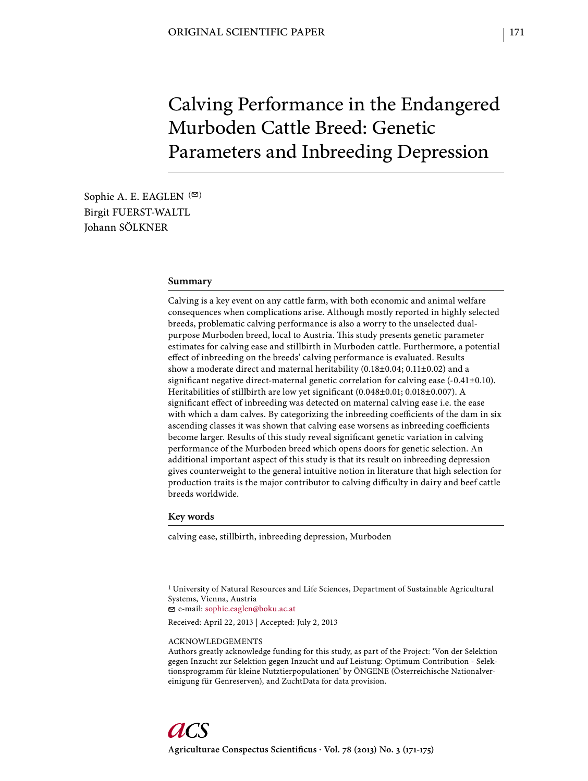# Calving Performance in the Endangered Murboden Cattle Breed: Genetic Parameters and Inbreeding Depression

Sophie A. E. EAGLEN  $($ Birgit FUERST-WALTL Johann SÖLKNER

## **Summary**

Calving is a key event on any cattle farm, with both economic and animal welfare consequences when complications arise. Although mostly reported in highly selected breeds, problematic calving performance is also a worry to the unselected dualpurpose Murboden breed, local to Austria. This study presents genetic parameter estimates for calving ease and stillbirth in Murboden cattle. Furthermore, a potential effect of inbreeding on the breeds' calving performance is evaluated. Results show a moderate direct and maternal heritability (0.18±0.04; 0.11±0.02) and a significant negative direct-maternal genetic correlation for calving ease  $(-0.41\pm0.10)$ . Heritabilities of stillbirth are low yet significant (0.048±0.01; 0.018±0.007). A significant effect of inbreeding was detected on maternal calving ease i.e. the ease with which a dam calves. By categorizing the inbreeding coefficients of the dam in six ascending classes it was shown that calving ease worsens as inbreeding coefficients become larger. Results of this study reveal significant genetic variation in calving performance of the Murboden breed which opens doors for genetic selection. An additional important aspect of this study is that its result on inbreeding depression gives counterweight to the general intuitive notion in literature that high selection for production traits is the major contributor to calving difficulty in dairy and beef cattle breeds worldwide.

#### **Key words**

calving ease, stillbirth, inbreeding depression, Murboden

1 University of Natural Resources and Life Sciences, Department of Sustainable Agricultural Systems, Vienna, Austria

e-mail: sophie.eaglen@boku.ac.at

Received: April 22, 2013 | Accepted: July 2, 2013

#### ACKNOWLEDGEMENTS

Authors greatly acknowledge funding for this study, as part of the Project: 'Von der Selektion gegen Inzucht zur Selektion gegen Inzucht und auf Leistung: Optimum Contribution - Selektionsprogramm für kleine Nutztierpopulationen' by ÖNGENE (Österreichische Nationalvereinigung für Genreserven), and ZuchtData for data provision.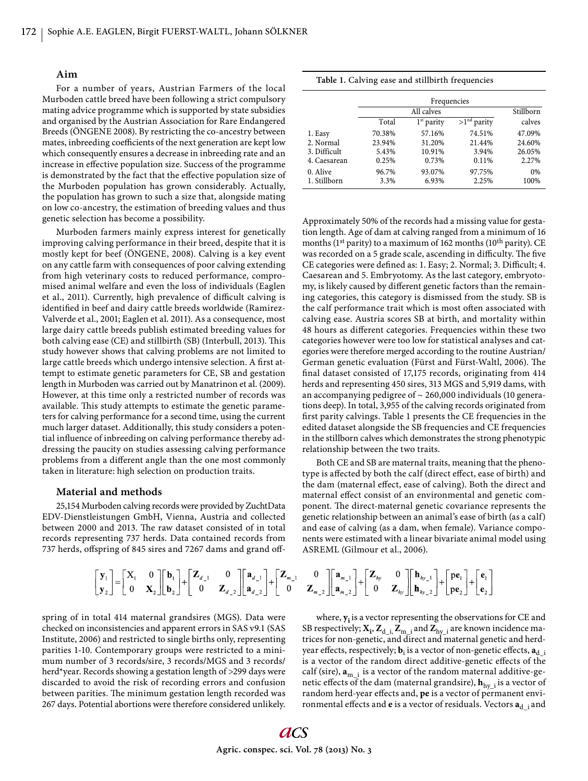#### **Aim**

For a number of years, Austrian Farmers of the local Murboden cattle breed have been following a strict compulsory mating advice programme which is supported by state subsidies and organised by the Austrian Association for Rare Endangered Breeds (ÖNGENE 2008). By restricting the co-ancestry between mates, inbreeding coefficients of the next generation are kept low which consequently ensures a decrease in inbreeding rate and an increase in effective population size. Success of the programme is demonstrated by the fact that the effective population size of the Murboden population has grown considerably. Actually, the population has grown to such a size that, alongside mating on low co-ancestry, the estimation of breeding values and thus genetic selection has become a possibility.

Murboden farmers mainly express interest for genetically improving calving performance in their breed, despite that it is mostly kept for beef (ÖNGENE, 2008). Calving is a key event on any cattle farm with consequences of poor calving extending from high veterinary costs to reduced performance, compromised animal welfare and even the loss of individuals (Eaglen et al., 2011). Currently, high prevalence of difficult calving is identified in beef and dairy cattle breeds worldwide (Ramirez-Valverde et al., 2001; Eaglen et al. 2011). As a consequence, most large dairy cattle breeds publish estimated breeding values for both calving ease (CE) and stillbirth (SB) (Interbull, 2013). This study however shows that calving problems are not limited to large cattle breeds which undergo intensive selection. A first attempt to estimate genetic parameters for CE, SB and gestation length in Murboden was carried out by Manatrinon et al. (2009). However, at this time only a restricted number of records was available. This study attempts to estimate the genetic parameters for calving performance for a second time, using the current much larger dataset. Additionally, this study considers a potential influence of inbreeding on calving performance thereby addressing the paucity on studies assessing calving performance problems from a different angle than the one most commonly taken in literature: high selection on production traits.

### **Material and methods**

25,154 Murboden calving records were provided by ZuchtData EDV-Dienstleistungen GmbH, Vienna, Austria and collected between 2000 and 2013. The raw dataset consisted of in total records representing 737 herds. Data contained records from 737 herds, offspring of 845 sires and 7267 dams and grand off-

|  |  |  |  | Table 1. Calving ease and stillbirth frequencies |
|--|--|--|--|--------------------------------------------------|
|--|--|--|--|--------------------------------------------------|

|              | Frequencies |              |               |           |
|--------------|-------------|--------------|---------------|-----------|
|              | All calves  |              |               | Stillborn |
|              | Total       | $1st$ parity | $>1nd$ parity | calves    |
| 1. Easy      | 70.38%      | 57.16%       | 74.51%        | 47.09%    |
| 2. Normal    | 23.94%      | 31.20%       | 21.44%        | 24.60%    |
| 3. Difficult | 5.43%       | 10.91%       | 3.94%         | 26.05%    |
| 4. Caesarean | 0.25%       | 0.73%        | 0.11%         | 2.27%     |
| 0. Alive     | 96.7%       | 93.07%       | 97.75%        | 0%        |
| 1. Stillborn | 3.3%        | 6.93%        | 2.25%         | 100%      |

Approximately 50% of the records had a missing value for gestation length. Age of dam at calving ranged from a minimum of 16 months (1st parity) to a maximum of 162 months (10th parity). CE was recorded on a 5 grade scale, ascending in difficulty. The five CE categories were defined as: 1. Easy; 2. Normal; 3. Difficult; 4. Caesarean and 5. Embryotomy. As the last category, embryotomy, is likely caused by different genetic factors than the remaining categories, this category is dismissed from the study. SB is the calf performance trait which is most often associated with calving ease. Austria scores SB at birth, and mortality within 48 hours as different categories. Frequencies within these two categories however were too low for statistical analyses and categories were therefore merged according to the routine Austrian/ German genetic evaluation (Fürst and Fürst-Waltl, 2006). The final dataset consisted of 17,175 records, originating from 414 herds and representing 450 sires, 313 MGS and 5,919 dams, with an accompanying pedigree of  $\sim$  260,000 individuals (10 generations deep). In total, 3,955 of the calving records originated from first parity calvings. Table 1 presents the CE frequencies in the edited dataset alongside the SB frequencies and CE frequencies in the stillborn calves which demonstrates the strong phenotypic relationship between the two traits.

Both CE and SB are maternal traits, meaning that the phenotype is affected by both the calf (direct effect, ease of birth) and the dam (maternal effect, ease of calving). Both the direct and maternal effect consist of an environmental and genetic component. The direct-maternal genetic covariance represents the genetic relationship between an animal's ease of birth (as a calf) and ease of calving (as a dam, when female). Variance components were estimated with a linear bivariate animal model using ASREML (Gilmour et al., 2006).

$$
\begin{bmatrix} \mathbf{y}_{1} \\ \mathbf{y}_{2} \end{bmatrix} = \begin{bmatrix} \mathbf{X}_{1} & 0 \\ 0 & \mathbf{X}_{2} \end{bmatrix} \begin{bmatrix} \mathbf{b}_{1} \\ \mathbf{b}_{2} \end{bmatrix} + \begin{bmatrix} \mathbf{Z}_{d-1} & 0 \\ 0 & \mathbf{Z}_{d-2} \end{bmatrix} \begin{bmatrix} \mathbf{a}_{d-1} \\ \mathbf{a}_{d-2} \end{bmatrix} + \begin{bmatrix} \mathbf{Z}_{m-1} & 0 \\ 0 & \mathbf{Z}_{m-2} \end{bmatrix} \begin{bmatrix} \mathbf{a}_{m-1} \\ \mathbf{a}_{m-2} \end{bmatrix} + \begin{bmatrix} \mathbf{Z}_{hy} & 0 \\ 0 & \mathbf{Z}_{hy} \end{bmatrix} \begin{bmatrix} \mathbf{h}_{hy-1} \\ \mathbf{h}_{hy-2} \end{bmatrix} + \begin{bmatrix} \mathbf{p} \mathbf{e}_{1} \\ \mathbf{p} \mathbf{e}_{2} \end{bmatrix} + \begin{bmatrix} \mathbf{e}_{1} \\ \mathbf{e}_{2} \end{bmatrix}
$$

spring of in total 414 maternal grandsires (MGS). Data were checked on inconsistencies and apparent errors in SAS v9.1 (SAS Institute, 2006) and restricted to single births only, representing parities 1-10. Contemporary groups were restricted to a minimum number of 3 records/sire, 3 records/MGS and 3 records/ herd\*year. Records showing a gestation length of >299 days were discarded to avoid the risk of recording errors and confusion between parities. The minimum gestation length recorded was 267 days. Potential abortions were therefore considered unlikely.

where, **yi** is a vector representing the observations for CE and SB respectively;  $X_i$ ,  $Z_{d_i}$ ,  $Z_{m_i}$  and  $Z_{hy_i}$  are known incidence matrices for non-genetic, and direct and maternal genetic and herdyear effects, respectively;  $\mathbf{b}_i$  is a vector of non-genetic effects,  $\mathbf{a}_{\text{d}\_{i}}$ is a vector of the random direct additive-genetic effects of the calf (sire),  $\mathbf{a}_{m-i}$  is a vector of the random maternal additive-genetic effects of the dam (maternal grandsire),  $\mathbf{h}_{\text{hy}\_1}$  is a vector of random herd-year effects and, **pe** is a vector of permanent environmental effects and **e** is a vector of residuals. Vectors  $a_{d-i}$  and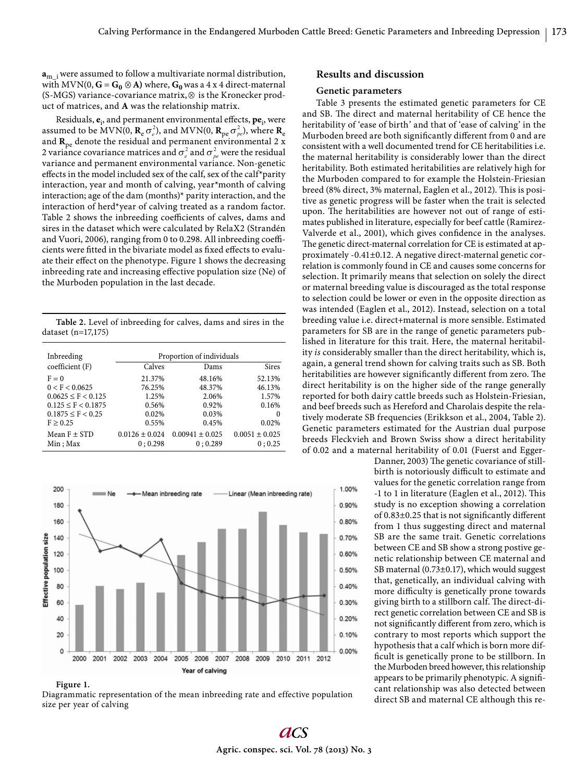$\mathbf{a}_{m-i}$  were assumed to follow a multivariate normal distribution, with  $MVN(0, G = G_0 \otimes A)$  where,  $G_0$  was a 4 x 4 direct-maternal (S-MGS) variance-covariance matrix,  $\otimes$  is the Kronecker product of matrices, and **A** was the relationship matrix.

Residuals,  $e_i$ , and permanent environmental effects,  $pe_i$ , were assumed to be MVN(0,  $\mathbf{R}_\mathrm{e}\,\sigma^2_\mathrm{e}$ ), and MVN(0,  $\mathbf{R}_\mathrm{pe}\,\sigma^2_\mathrm{pe}$ ), where  $\mathbf{R}_\mathrm{e}$ and  $\mathbf{R}_{\text{pe}}$  denote the residual and permanent environmental 2 x 2 variance covariance matrices and  $\sigma_e^2$  and  $\sigma_{pe}^2$  were the residual variance and permanent environmental variance. Non-genetic effects in the model included sex of the calf, sex of the calf\*parity interaction, year and month of calving, year\*month of calving interaction; age of the dam (months)\* parity interaction, and the interaction of herd\*year of calving treated as a random factor. Table 2 shows the inbreeding coefficients of calves, dams and sires in the dataset which were calculated by RelaX2 (Strandén and Vuori, 2006), ranging from 0 to 0.298. All inbreeding coefficients were fitted in the bivariate model as fixed effects to evaluate their effect on the phenotype. Figure 1 shows the decreasing inbreeding rate and increasing effective population size (Ne) of the Murboden population in the last decade.

**Table 2.** Level of inbreeding for calves, dams and sires in the dataset (n=17,175)

| Inbreeding                   | Proportion of individuals     |                                |                              |  |
|------------------------------|-------------------------------|--------------------------------|------------------------------|--|
| coefficient (F)              | Calves                        | Dams                           | <b>Sires</b>                 |  |
| $F = 0$                      | 21.37%                        | 48.16%                         | 52.13%                       |  |
| 0 < F < 0.0625               | 76.25%                        | 48.37%                         | 46.13%                       |  |
| $0.0625 \leq F \leq 0.125$   | 1.25%                         | 2.06%                          | 1.57%                        |  |
| $0.125 \leq F \leq 0.1875$   | 0.56%                         | 0.92%                          | 0.16%                        |  |
| $0.1875 \leq F \leq 0.25$    | 0.02%                         | 0.03%                          | $\Omega$                     |  |
| $F \geq 0.25$                | 0.55%                         | 0.45%                          | 0.02%                        |  |
| Mean $F \pm STD$<br>Min; Max | $0.0126 \pm 0.024$<br>0:0.298 | $0.00941 \pm 0.025$<br>0:0.289 | $0.0051 \pm 0.025$<br>0:0.25 |  |



#### **Figure 1.**

Diagrammatic representation of the mean inbreeding rate and effective population size per year of calving

# **Results and discussion**

#### **Genetic parameters**

Table 3 presents the estimated genetic parameters for CE and SB. The direct and maternal heritability of CE hence the heritability of 'ease of birth' and that of 'ease of calving' in the Murboden breed are both significantly different from 0 and are consistent with a well documented trend for CE heritabilities i.e. the maternal heritability is considerably lower than the direct heritability. Both estimated heritabilities are relatively high for the Murboden compared to for example the Holstein-Friesian breed (8% direct, 3% maternal, Eaglen et al., 2012). This is positive as genetic progress will be faster when the trait is selected upon. The heritabilities are however not out of range of estimates published in literature, especially for beef cattle (Ramirez-Valverde et al., 2001), which gives confidence in the analyses. The genetic direct-maternal correlation for CE is estimated at approximately -0.41±0.12. A negative direct-maternal genetic correlation is commonly found in CE and causes some concerns for selection. It primarily means that selection on solely the direct or maternal breeding value is discouraged as the total response to selection could be lower or even in the opposite direction as was intended (Eaglen et al., 2012). Instead, selection on a total breeding value i.e. direct+maternal is more sensible. Estimated parameters for SB are in the range of genetic parameters published in literature for this trait. Here, the maternal heritability *is* considerably smaller than the direct heritability, which is, again, a general trend shown for calving traits such as SB. Both heritabilities are however significantly different from zero. The direct heritability is on the higher side of the range generally reported for both dairy cattle breeds such as Holstein-Friesian, and beef breeds such as Hereford and Charolais despite the relatively moderate SB frequencies (Erikkson et al., 2004, Table 2). Genetic parameters estimated for the Austrian dual purpose breeds Fleckvieh and Brown Swiss show a direct heritability of 0.02 and a maternal heritability of 0.01 (Fuerst and Egger-

> Danner, 2003) The genetic covariance of stillbirth is notoriously difficult to estimate and values for the genetic correlation range from -1 to 1 in literature (Eaglen et al., 2012). This study is no exception showing a correlation of  $0.83\pm0.25$  that is not significantly different from 1 thus suggesting direct and maternal SB are the same trait. Genetic correlations between CE and SB show a strong postive genetic relationship between CE maternal and SB maternal (0.73±0.17), which would suggest that, genetically, an individual calving with more difficulty is genetically prone towards giving birth to a stillborn calf. The direct-direct genetic correlation between CE and SB is not significantly different from zero, which is contrary to most reports which support the hypothesis that a calf which is born more difficult is genetically prone to be stillborn. In the Murboden breed however, this relationship appears to be primarily phenotypic. A significant relationship was also detected between direct SB and maternal CE although this re-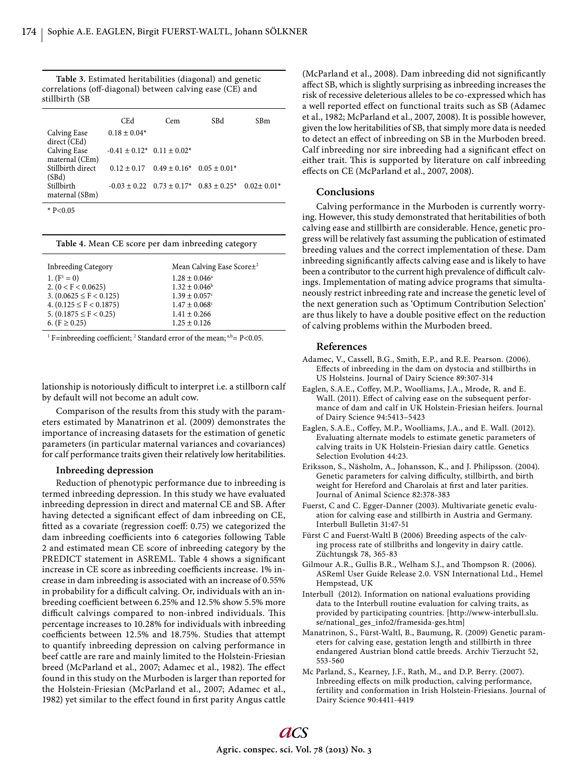**Table 3.** Estimated heritabilities (diagonal) and genetic correlations (off-diagonal) between calving ease (CE) and stillbirth (SB

|                                       | <b>CEd</b>                           | Cem                                                  | SBd | SBm            |
|---------------------------------------|--------------------------------------|------------------------------------------------------|-----|----------------|
| <b>Calving Ease</b><br>direct (CEd)   | $0.18 \pm 0.04*$                     |                                                      |     |                |
| <b>Calving Ease</b><br>maternal (CEm) | $-0.41 \pm 0.12$ * $0.11 \pm 0.02$ * |                                                      |     |                |
| Stillbirth direct<br>(SBd)            |                                      | $0.12 \pm 0.17$ $0.49 \pm 0.16^*$ $0.05 \pm 0.01^*$  |     |                |
| Stillbirth<br>maternal (SBm)          |                                      | $-0.03 \pm 0.22$ $0.73 \pm 0.17$ * $0.83 \pm 0.25$ * |     | $0.02 + 0.01*$ |

\*  $P < 0.05$ 

#### **Table 4.** Mean CE score per dam inbreeding category

| <b>Inbreeding Category</b>  | Mean Calving Ease Score± <sup>2</sup> |
|-----------------------------|---------------------------------------|
| 1. $(F^1 = 0)$              | $1.28 \pm 0.046^{\circ}$              |
| 2. $(0 < F < 0.0625)$       | $1.32 \pm 0.046^b$                    |
| 3. $(0.0625 \le F < 0.125)$ | $1.39 \pm 0.057$ <sup>c</sup>         |
| 4. $(0.125 \le F < 0.1875)$ | $1.47 \pm 0.068$ <sup>c</sup>         |
| 5. $(0.1875 \le F < 0.25)$  | $1.41 \pm 0.266$                      |
| 6. ( $F \ge 0.25$ )         | $1.25 \pm 0.126$                      |

<sup>1</sup> F=inbreeding coefficient; <sup>2</sup> Standard error of the mean;  $a$ ,b= P<0.05.

lationship is notoriously difficult to interpret i.e. a stillborn calf by default will not become an adult cow.

Comparison of the results from this study with the parameters estimated by Manatrinon et al. (2009) demonstrates the importance of increasing datasets for the estimation of genetic parameters (in particular maternal variances and covariances) for calf performance traits given their relatively low heritabilities.

# **Inbreeding depression**

Reduction of phenotypic performance due to inbreeding is termed inbreeding depression. In this study we have evaluated inbreeding depression in direct and maternal CE and SB. After having detected a significant effect of dam inbreeding on CE, fitted as a covariate (regression coeff: 0.75) we categorized the dam inbreeding coefficients into 6 categories following Table 2 and estimated mean CE score of inbreeding category by the PREDICT statement in ASREML. Table 4 shows a significant increase in CE score as inbreeding coefficients increase. 1% increase in dam inbreeding is associated with an increase of 0.55% in probability for a difficult calving. Or, individuals with an inbreeding coefficient between 6.25% and 12.5% show 5.5% more difficult calvings compared to non-inbred individuals. This percentage increases to 10.28% for individuals with inbreeding coefficients between 12.5% and 18.75%. Studies that attempt to quantify inbreeding depression on calving performance in beef cattle are rare and mainly limited to the Holstein-Friesian breed (McParland et al., 2007; Adamec et al., 1982). The effect found in this study on the Murboden is larger than reported for the Holstein-Friesian (McParland et al., 2007; Adamec et al., 1982) yet similar to the effect found in first parity Angus cattle

(McParland et al., 2008). Dam inbreeding did not significantly affect SB, which is slightly surprising as inbreeding increases the risk of recessive deleterious alleles to be co-expressed which has a well reported effect on functional traits such as SB (Adamec et al., 1982; McParland et al., 2007, 2008). It is possible however, given the low heritabilities of SB, that simply more data is needed to detect an effect of inbreeding on SB in the Murboden breed. Calf inbreeding nor sire inbreeding had a significant effect on either trait. This is supported by literature on calf inbreeding effects on CE (McParland et al., 2007, 2008).

# **Conclusions**

Calving performance in the Murboden is currently worrying. However, this study demonstrated that heritabilities of both calving ease and stillbirth are considerable. Hence, genetic progress will be relatively fast assuming the publication of estimated breeding values and the correct implementation of these. Dam inbreeding significantly affects calving ease and is likely to have been a contributor to the current high prevalence of difficult calvings. Implementation of mating advice programs that simultaneously restrict inbreeding rate and increase the genetic level of the next generation such as 'Optimum Contribution Selection' are thus likely to have a double positive effect on the reduction of calving problems within the Murboden breed.

### **References**

- Adamec, V., Cassell, B.G., Smith, E.P., and R.E. Pearson. (2006). Effects of inbreeding in the dam on dystocia and stillbirths in US Holsteins. Journal of Dairy Science 89:307-314
- Eaglen, S.A.E., Coffey, M.P., Woolliams, J.A., Mrode, R. and E. Wall. (2011). Effect of calving ease on the subsequent performance of dam and calf in UK Holstein-Friesian heifers. Journal of Dairy Science 94:5413–5423
- Eaglen, S.A.E., Coffey, M.P., Woolliams, J.A., and E. Wall. (2012). Evaluating alternate models to estimate genetic parameters of calving traits in UK Holstein-Friesian dairy cattle. Genetics Selection Evolution 44:23.
- Eriksson, S., Näsholm, A., Johansson, K., and J. Philipsson. (2004). Genetic parameters for calving difficulty, stillbirth, and birth weight for Hereford and Charolais at first and later parities. Journal of Animal Science 82:378-383
- Fuerst, C and C. Egger-Danner (2003). Multivariate genetic evaluation for calving ease and stillbirth in Austria and Germany. Interbull Bulletin 31:47-51
- Fürst C and Fuerst-Waltl B (2006) Breeding aspects of the calving process rate of stillbriths and longevity in dairy cattle. Züchtungsk 78, 365-83
- Gilmour A.R., Gullis B.R., Welham S.J., and Thompson R. (2006). ASReml User Guide Release 2.0. VSN International Ltd., Hemel Hempstead, UK
- Interbull (2012). Information on national evaluations providing data to the Interbull routine evaluation for calving traits, as provided by participating countries. [http://www-interbull.slu. se/national\_ges\_info2/framesida-ges.htm]
- Manatrinon, S., Fürst-Waltl, B., Baumung, R. (2009) Genetic parameters for calving ease, gestation length and stillbirth in three endangered Austrian blond cattle breeds. Archiv Tierzucht 52, 553-560
- Mc Parland, S., Kearney, J.F., Rath, M., and D.P. Berry. (2007). Inbreeding effects on milk production, calving performance, fertility and conformation in Irish Holstein-Friesians. Journal of Dairy Science 90:4411-4419